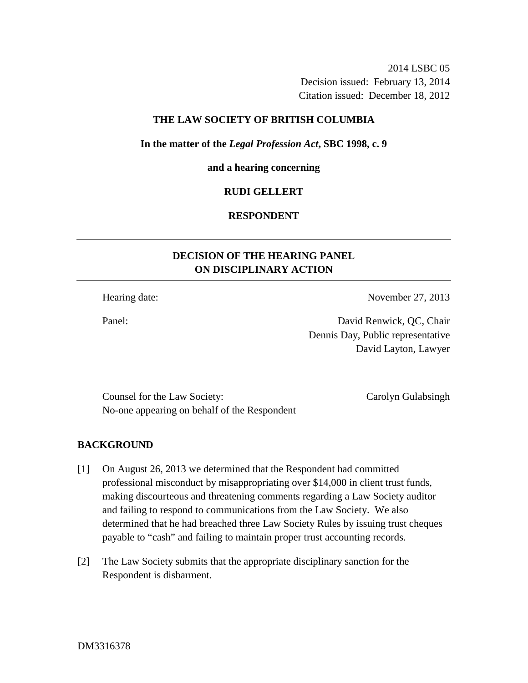2014 LSBC 05 Decision issued: February 13, 2014 Citation issued: December 18, 2012

## **THE LAW SOCIETY OF BRITISH COLUMBIA**

### **In the matter of the** *Legal Profession Act***, SBC 1998, c. 9**

### **and a hearing concerning**

### **RUDI GELLERT**

## **RESPONDENT**

# **DECISION OF THE HEARING PANEL ON DISCIPLINARY ACTION**

Hearing date: November 27, 2013

Panel: David Renwick, QC, Chair Dennis Day, Public representative David Layton, Lawyer

Counsel for the Law Society: Carolyn Gulabsingh No-one appearing on behalf of the Respondent

### **BACKGROUND**

- [1] On August 26, 2013 we determined that the Respondent had committed professional misconduct by misappropriating over \$14,000 in client trust funds, making discourteous and threatening comments regarding a Law Society auditor and failing to respond to communications from the Law Society. We also determined that he had breached three Law Society Rules by issuing trust cheques payable to "cash" and failing to maintain proper trust accounting records.
- [2] The Law Society submits that the appropriate disciplinary sanction for the Respondent is disbarment.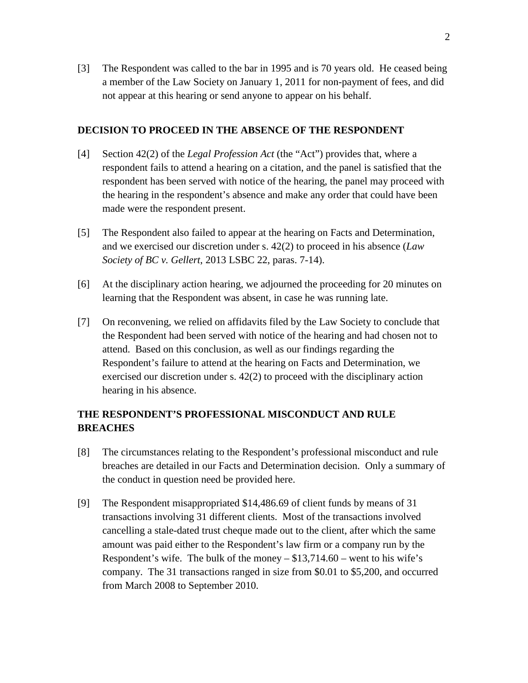[3] The Respondent was called to the bar in 1995 and is 70 years old. He ceased being a member of the Law Society on January 1, 2011 for non-payment of fees, and did not appear at this hearing or send anyone to appear on his behalf.

## **DECISION TO PROCEED IN THE ABSENCE OF THE RESPONDENT**

- [4] Section 42(2) of the *Legal Profession Act* (the "Act") provides that, where a respondent fails to attend a hearing on a citation, and the panel is satisfied that the respondent has been served with notice of the hearing, the panel may proceed with the hearing in the respondent's absence and make any order that could have been made were the respondent present.
- [5] The Respondent also failed to appear at the hearing on Facts and Determination, and we exercised our discretion under s. 42(2) to proceed in his absence (*Law Society of BC v. Gellert*, 2013 LSBC 22, paras. 7-14).
- [6] At the disciplinary action hearing, we adjourned the proceeding for 20 minutes on learning that the Respondent was absent, in case he was running late.
- [7] On reconvening, we relied on affidavits filed by the Law Society to conclude that the Respondent had been served with notice of the hearing and had chosen not to attend. Based on this conclusion, as well as our findings regarding the Respondent's failure to attend at the hearing on Facts and Determination, we exercised our discretion under s. 42(2) to proceed with the disciplinary action hearing in his absence.

## **THE RESPONDENT'S PROFESSIONAL MISCONDUCT AND RULE BREACHES**

- [8] The circumstances relating to the Respondent's professional misconduct and rule breaches are detailed in our Facts and Determination decision. Only a summary of the conduct in question need be provided here.
- [9] The Respondent misappropriated \$14,486.69 of client funds by means of 31 transactions involving 31 different clients. Most of the transactions involved cancelling a stale-dated trust cheque made out to the client, after which the same amount was paid either to the Respondent's law firm or a company run by the Respondent's wife. The bulk of the money  $- $13,714.60$  – went to his wife's company. The 31 transactions ranged in size from \$0.01 to \$5,200, and occurred from March 2008 to September 2010.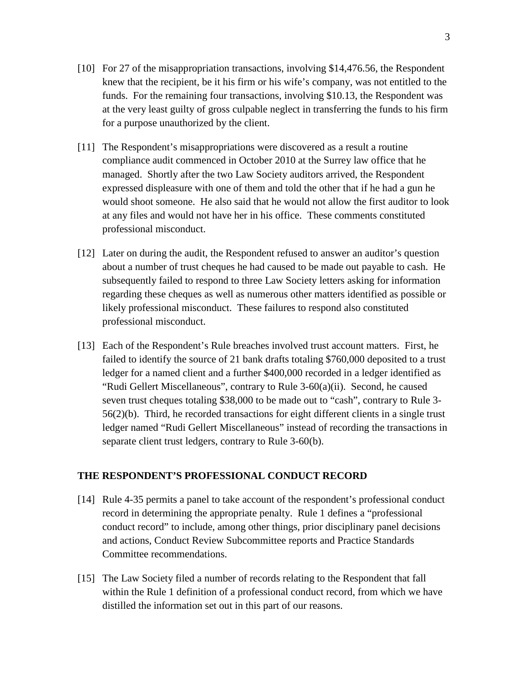- [10] For 27 of the misappropriation transactions, involving \$14,476.56, the Respondent knew that the recipient, be it his firm or his wife's company, was not entitled to the funds. For the remaining four transactions, involving \$10.13, the Respondent was at the very least guilty of gross culpable neglect in transferring the funds to his firm for a purpose unauthorized by the client.
- [11] The Respondent's misappropriations were discovered as a result a routine compliance audit commenced in October 2010 at the Surrey law office that he managed. Shortly after the two Law Society auditors arrived, the Respondent expressed displeasure with one of them and told the other that if he had a gun he would shoot someone. He also said that he would not allow the first auditor to look at any files and would not have her in his office. These comments constituted professional misconduct.
- [12] Later on during the audit, the Respondent refused to answer an auditor's question about a number of trust cheques he had caused to be made out payable to cash. He subsequently failed to respond to three Law Society letters asking for information regarding these cheques as well as numerous other matters identified as possible or likely professional misconduct. These failures to respond also constituted professional misconduct.
- [13] Each of the Respondent's Rule breaches involved trust account matters. First, he failed to identify the source of 21 bank drafts totaling \$760,000 deposited to a trust ledger for a named client and a further \$400,000 recorded in a ledger identified as "Rudi Gellert Miscellaneous", contrary to Rule 3-60(a)(ii). Second, he caused seven trust cheques totaling \$38,000 to be made out to "cash", contrary to Rule 3- 56(2)(b). Third, he recorded transactions for eight different clients in a single trust ledger named "Rudi Gellert Miscellaneous" instead of recording the transactions in separate client trust ledgers, contrary to Rule 3-60(b).

### **THE RESPONDENT'S PROFESSIONAL CONDUCT RECORD**

- [14] Rule 4-35 permits a panel to take account of the respondent's professional conduct record in determining the appropriate penalty. Rule 1 defines a "professional conduct record" to include, among other things, prior disciplinary panel decisions and actions, Conduct Review Subcommittee reports and Practice Standards Committee recommendations.
- [15] The Law Society filed a number of records relating to the Respondent that fall within the Rule 1 definition of a professional conduct record, from which we have distilled the information set out in this part of our reasons.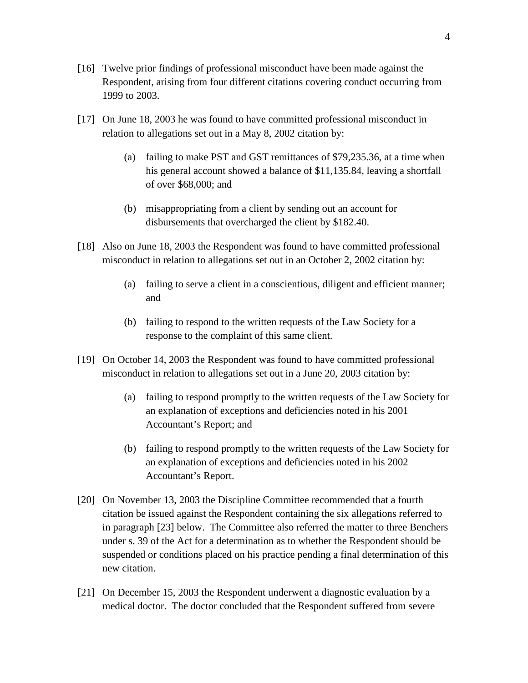- [16] Twelve prior findings of professional misconduct have been made against the Respondent, arising from four different citations covering conduct occurring from 1999 to 2003.
- [17] On June 18, 2003 he was found to have committed professional misconduct in relation to allegations set out in a May 8, 2002 citation by:
	- (a) failing to make PST and GST remittances of \$79,235.36, at a time when his general account showed a balance of \$11,135.84, leaving a shortfall of over \$68,000; and
	- (b) misappropriating from a client by sending out an account for disbursements that overcharged the client by \$182.40.
- [18] Also on June 18, 2003 the Respondent was found to have committed professional misconduct in relation to allegations set out in an October 2, 2002 citation by:
	- (a) failing to serve a client in a conscientious, diligent and efficient manner; and
	- (b) failing to respond to the written requests of the Law Society for a response to the complaint of this same client.
- [19] On October 14, 2003 the Respondent was found to have committed professional misconduct in relation to allegations set out in a June 20, 2003 citation by:
	- (a) failing to respond promptly to the written requests of the Law Society for an explanation of exceptions and deficiencies noted in his 2001 Accountant's Report; and
	- (b) failing to respond promptly to the written requests of the Law Society for an explanation of exceptions and deficiencies noted in his 2002 Accountant's Report.
- [20] On November 13, 2003 the Discipline Committee recommended that a fourth citation be issued against the Respondent containing the six allegations referred to in paragraph [23] below. The Committee also referred the matter to three Benchers under s. 39 of the Act for a determination as to whether the Respondent should be suspended or conditions placed on his practice pending a final determination of this new citation.
- [21] On December 15, 2003 the Respondent underwent a diagnostic evaluation by a medical doctor. The doctor concluded that the Respondent suffered from severe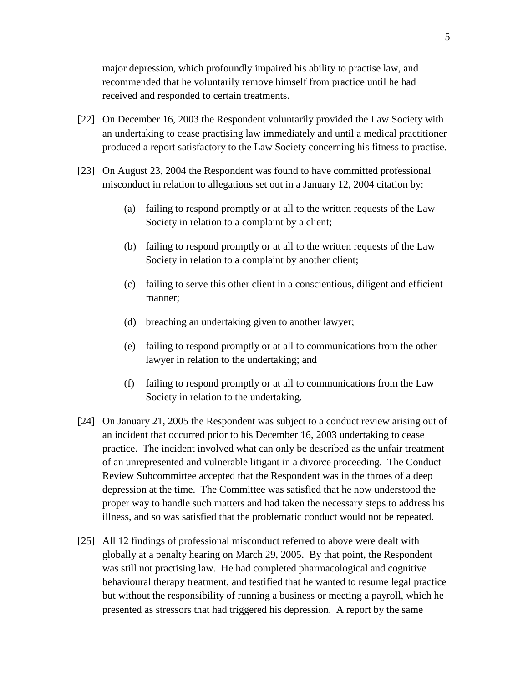major depression, which profoundly impaired his ability to practise law, and recommended that he voluntarily remove himself from practice until he had received and responded to certain treatments.

- [22] On December 16, 2003 the Respondent voluntarily provided the Law Society with an undertaking to cease practising law immediately and until a medical practitioner produced a report satisfactory to the Law Society concerning his fitness to practise.
- [23] On August 23, 2004 the Respondent was found to have committed professional misconduct in relation to allegations set out in a January 12, 2004 citation by:
	- (a) failing to respond promptly or at all to the written requests of the Law Society in relation to a complaint by a client;
	- (b) failing to respond promptly or at all to the written requests of the Law Society in relation to a complaint by another client;
	- (c) failing to serve this other client in a conscientious, diligent and efficient manner;
	- (d) breaching an undertaking given to another lawyer;
	- (e) failing to respond promptly or at all to communications from the other lawyer in relation to the undertaking; and
	- (f) failing to respond promptly or at all to communications from the Law Society in relation to the undertaking.
- [24] On January 21, 2005 the Respondent was subject to a conduct review arising out of an incident that occurred prior to his December 16, 2003 undertaking to cease practice. The incident involved what can only be described as the unfair treatment of an unrepresented and vulnerable litigant in a divorce proceeding. The Conduct Review Subcommittee accepted that the Respondent was in the throes of a deep depression at the time. The Committee was satisfied that he now understood the proper way to handle such matters and had taken the necessary steps to address his illness, and so was satisfied that the problematic conduct would not be repeated.
- [25] All 12 findings of professional misconduct referred to above were dealt with globally at a penalty hearing on March 29, 2005. By that point, the Respondent was still not practising law. He had completed pharmacological and cognitive behavioural therapy treatment, and testified that he wanted to resume legal practice but without the responsibility of running a business or meeting a payroll, which he presented as stressors that had triggered his depression. A report by the same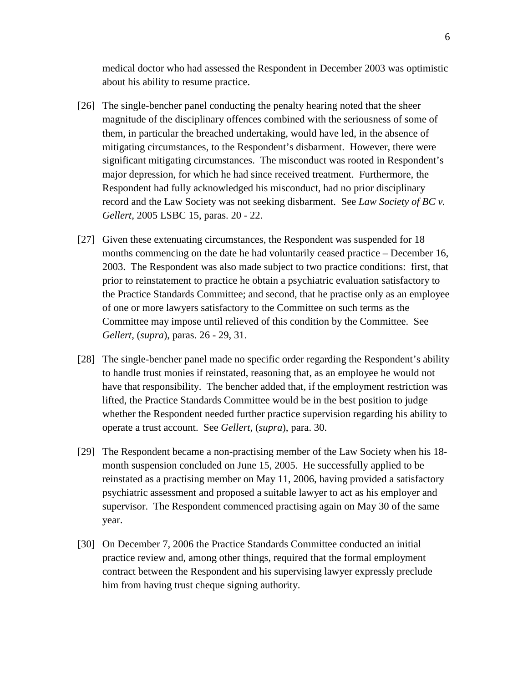medical doctor who had assessed the Respondent in December 2003 was optimistic about his ability to resume practice.

- [26] The single-bencher panel conducting the penalty hearing noted that the sheer magnitude of the disciplinary offences combined with the seriousness of some of them, in particular the breached undertaking, would have led, in the absence of mitigating circumstances, to the Respondent's disbarment. However, there were significant mitigating circumstances. The misconduct was rooted in Respondent's major depression, for which he had since received treatment. Furthermore, the Respondent had fully acknowledged his misconduct, had no prior disciplinary record and the Law Society was not seeking disbarment. See *Law Society of BC v. Gellert*, 2005 LSBC 15, paras. 20 - 22.
- [27] Given these extenuating circumstances, the Respondent was suspended for 18 months commencing on the date he had voluntarily ceased practice – December 16, 2003. The Respondent was also made subject to two practice conditions: first, that prior to reinstatement to practice he obtain a psychiatric evaluation satisfactory to the Practice Standards Committee; and second, that he practise only as an employee of one or more lawyers satisfactory to the Committee on such terms as the Committee may impose until relieved of this condition by the Committee. See *Gellert*, (*supra*), paras. 26 - 29, 31.
- [28] The single-bencher panel made no specific order regarding the Respondent's ability to handle trust monies if reinstated, reasoning that, as an employee he would not have that responsibility. The bencher added that, if the employment restriction was lifted, the Practice Standards Committee would be in the best position to judge whether the Respondent needed further practice supervision regarding his ability to operate a trust account. See *Gellert*, (*supra*), para. 30.
- [29] The Respondent became a non-practising member of the Law Society when his 18 month suspension concluded on June 15, 2005. He successfully applied to be reinstated as a practising member on May 11, 2006, having provided a satisfactory psychiatric assessment and proposed a suitable lawyer to act as his employer and supervisor. The Respondent commenced practising again on May 30 of the same year.
- [30] On December 7, 2006 the Practice Standards Committee conducted an initial practice review and, among other things, required that the formal employment contract between the Respondent and his supervising lawyer expressly preclude him from having trust cheque signing authority.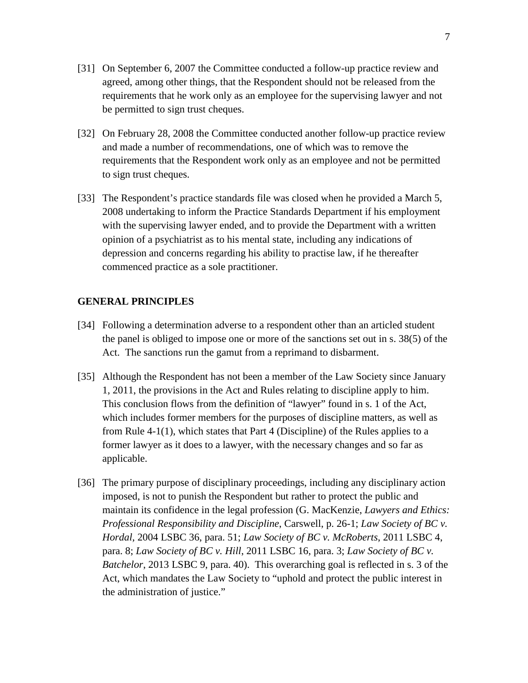- [31] On September 6, 2007 the Committee conducted a follow-up practice review and agreed, among other things, that the Respondent should not be released from the requirements that he work only as an employee for the supervising lawyer and not be permitted to sign trust cheques.
- [32] On February 28, 2008 the Committee conducted another follow-up practice review and made a number of recommendations, one of which was to remove the requirements that the Respondent work only as an employee and not be permitted to sign trust cheques.
- [33] The Respondent's practice standards file was closed when he provided a March 5, 2008 undertaking to inform the Practice Standards Department if his employment with the supervising lawyer ended, and to provide the Department with a written opinion of a psychiatrist as to his mental state, including any indications of depression and concerns regarding his ability to practise law, if he thereafter commenced practice as a sole practitioner.

## **GENERAL PRINCIPLES**

- [34] Following a determination adverse to a respondent other than an articled student the panel is obliged to impose one or more of the sanctions set out in s. 38(5) of the Act. The sanctions run the gamut from a reprimand to disbarment.
- [35] Although the Respondent has not been a member of the Law Society since January 1, 2011, the provisions in the Act and Rules relating to discipline apply to him. This conclusion flows from the definition of "lawyer" found in s. 1 of the Act, which includes former members for the purposes of discipline matters, as well as from Rule 4-1(1), which states that Part 4 (Discipline) of the Rules applies to a former lawyer as it does to a lawyer, with the necessary changes and so far as applicable.
- [36] The primary purpose of disciplinary proceedings, including any disciplinary action imposed, is not to punish the Respondent but rather to protect the public and maintain its confidence in the legal profession (G. MacKenzie, *Lawyers and Ethics: Professional Responsibility and Discipline*, Carswell, p. 26-1; *Law Society of BC v. Hordal*, 2004 LSBC 36, para. 51; *Law Society of BC v. McRoberts*, 2011 LSBC 4, para. 8; *Law Society of BC v. Hill*, 2011 LSBC 16, para. 3; *Law Society of BC v. Batchelor*, 2013 LSBC 9, para. 40). This overarching goal is reflected in s. 3 of the Act, which mandates the Law Society to "uphold and protect the public interest in the administration of justice."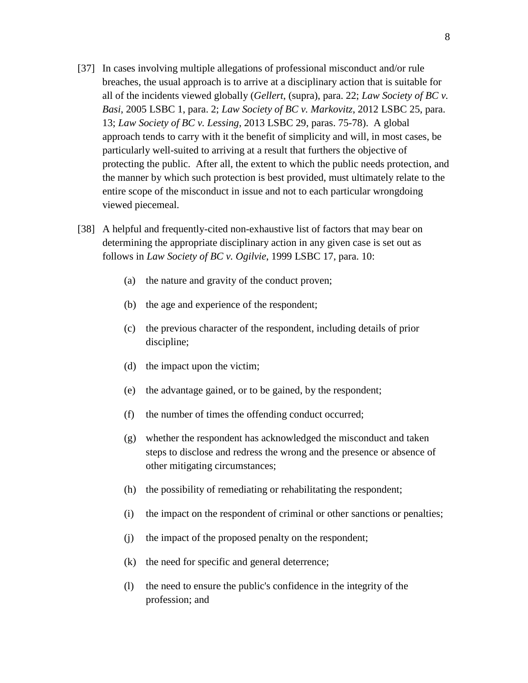- [37] In cases involving multiple allegations of professional misconduct and/or rule breaches, the usual approach is to arrive at a disciplinary action that is suitable for all of the incidents viewed globally (*Gellert*, (supra), para. 22; *Law Society of BC v. Basi*, 2005 LSBC 1, para. 2; *Law Society of BC v. Markovitz*, 2012 LSBC 25, para. 13; *Law Society of BC v. Lessing*, 2013 LSBC 29, paras. 75-78). A global approach tends to carry with it the benefit of simplicity and will, in most cases, be particularly well-suited to arriving at a result that furthers the objective of protecting the public. After all, the extent to which the public needs protection, and the manner by which such protection is best provided, must ultimately relate to the entire scope of the misconduct in issue and not to each particular wrongdoing viewed piecemeal.
- [38] A helpful and frequently-cited non-exhaustive list of factors that may bear on determining the appropriate disciplinary action in any given case is set out as follows in *Law Society of BC v. Ogilvie*, 1999 LSBC 17, para. 10:
	- (a) the nature and gravity of the conduct proven;
	- (b) the age and experience of the respondent;
	- (c) the previous character of the respondent, including details of prior discipline;
	- (d) the impact upon the victim;
	- (e) the advantage gained, or to be gained, by the respondent;
	- (f) the number of times the offending conduct occurred;
	- (g) whether the respondent has acknowledged the misconduct and taken steps to disclose and redress the wrong and the presence or absence of other mitigating circumstances;
	- (h) the possibility of remediating or rehabilitating the respondent;
	- (i) the impact on the respondent of criminal or other sanctions or penalties;
	- (j) the impact of the proposed penalty on the respondent;
	- (k) the need for specific and general deterrence;
	- (l) the need to ensure the public's confidence in the integrity of the profession; and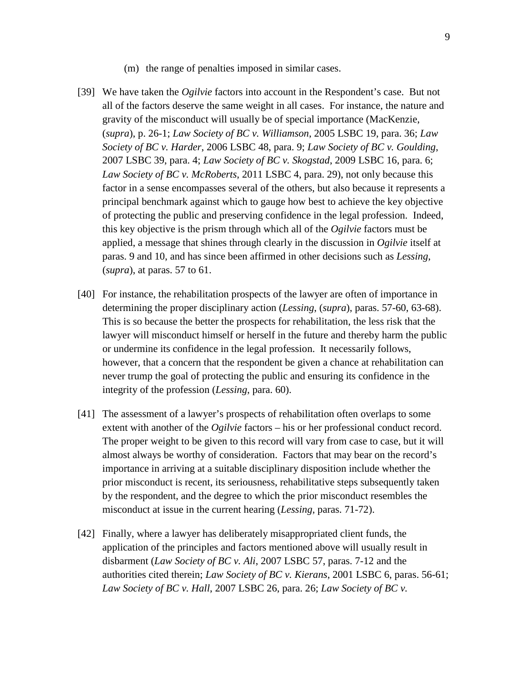- (m) the range of penalties imposed in similar cases.
- [39] We have taken the *Ogilvie* factors into account in the Respondent's case. But not all of the factors deserve the same weight in all cases. For instance, the nature and gravity of the misconduct will usually be of special importance (MacKenzie, (*supra*), p. 26-1; *Law Society of BC v. Williamson*, 2005 LSBC 19, para. 36; *Law Society of BC v. Harder*, 2006 LSBC 48, para. 9; *Law Society of BC v. Goulding*, 2007 LSBC 39, para. 4; *Law Society of BC v. Skogstad*, 2009 LSBC 16, para. 6; *Law Society of BC v. McRoberts*, 2011 LSBC 4, para. 29), not only because this factor in a sense encompasses several of the others, but also because it represents a principal benchmark against which to gauge how best to achieve the key objective of protecting the public and preserving confidence in the legal profession. Indeed, this key objective is the prism through which all of the *Ogilvie* factors must be applied, a message that shines through clearly in the discussion in *Ogilvie* itself at paras. 9 and 10, and has since been affirmed in other decisions such as *Lessing*, (*supra*), at paras. 57 to 61.
- [40] For instance, the rehabilitation prospects of the lawyer are often of importance in determining the proper disciplinary action (*Lessing*, (*supra*), paras. 57-60, 63-68). This is so because the better the prospects for rehabilitation, the less risk that the lawyer will misconduct himself or herself in the future and thereby harm the public or undermine its confidence in the legal profession. It necessarily follows, however, that a concern that the respondent be given a chance at rehabilitation can never trump the goal of protecting the public and ensuring its confidence in the integrity of the profession (*Lessing*, para. 60).
- [41] The assessment of a lawyer's prospects of rehabilitation often overlaps to some extent with another of the *Ogilvie* factors – his or her professional conduct record. The proper weight to be given to this record will vary from case to case, but it will almost always be worthy of consideration. Factors that may bear on the record's importance in arriving at a suitable disciplinary disposition include whether the prior misconduct is recent, its seriousness, rehabilitative steps subsequently taken by the respondent, and the degree to which the prior misconduct resembles the misconduct at issue in the current hearing (*Lessing*, paras. 71-72).
- [42] Finally, where a lawyer has deliberately misappropriated client funds, the application of the principles and factors mentioned above will usually result in disbarment (*Law Society of BC v. Ali*, 2007 LSBC 57, paras. 7-12 and the authorities cited therein; *Law Society of BC v. Kierans*, 2001 LSBC 6, paras. 56-61; *Law Society of BC v. Hall*, 2007 LSBC 26, para. 26; *Law Society of BC v.*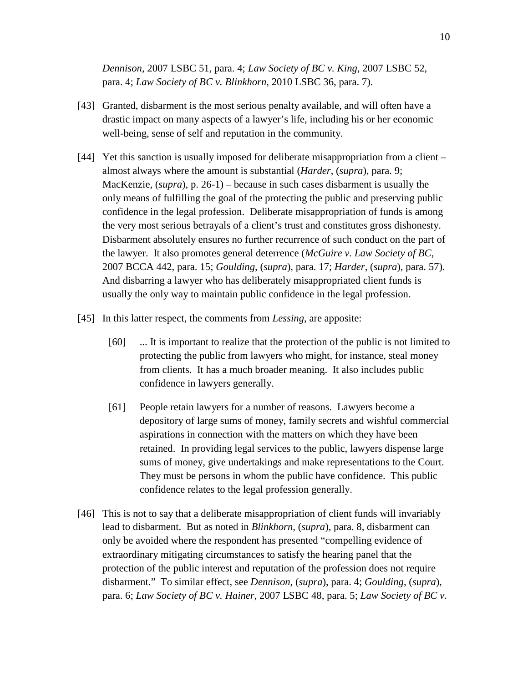*Dennison*, 2007 LSBC 51, para. 4; *Law Society of BC v. King*, 2007 LSBC 52, para. 4; *Law Society of BC v. Blinkhorn*, 2010 LSBC 36, para. 7).

- [43] Granted, disbarment is the most serious penalty available, and will often have a drastic impact on many aspects of a lawyer's life, including his or her economic well-being, sense of self and reputation in the community.
- [44] Yet this sanction is usually imposed for deliberate misappropriation from a client almost always where the amount is substantial (*Harder*, (*supra*), para. 9; MacKenzie, (*supra*), p. 26-1) – because in such cases disbarment is usually the only means of fulfilling the goal of the protecting the public and preserving public confidence in the legal profession. Deliberate misappropriation of funds is among the very most serious betrayals of a client's trust and constitutes gross dishonesty. Disbarment absolutely ensures no further recurrence of such conduct on the part of the lawyer. It also promotes general deterrence (*McGuire v. Law Society of BC*, 2007 BCCA 442, para. 15; *Goulding*, (*supra*), para. 17; *Harder*, (*supra*), para. 57). And disbarring a lawyer who has deliberately misappropriated client funds is usually the only way to maintain public confidence in the legal profession.
- [45] In this latter respect, the comments from *Lessing*, are apposite:
	- [60] ... It is important to realize that the protection of the public is not limited to protecting the public from lawyers who might, for instance, steal money from clients. It has a much broader meaning. It also includes public confidence in lawyers generally.
	- [61] People retain lawyers for a number of reasons. Lawyers become a depository of large sums of money, family secrets and wishful commercial aspirations in connection with the matters on which they have been retained. In providing legal services to the public, lawyers dispense large sums of money, give undertakings and make representations to the Court. They must be persons in whom the public have confidence. This public confidence relates to the legal profession generally.
- [46] This is not to say that a deliberate misappropriation of client funds will invariably lead to disbarment. But as noted in *Blinkhorn*, (*supra*), para. 8, disbarment can only be avoided where the respondent has presented "compelling evidence of extraordinary mitigating circumstances to satisfy the hearing panel that the protection of the public interest and reputation of the profession does not require disbarment." To similar effect, see *Dennison*, (*supra*), para. 4; *Goulding*, (*supra*), para. 6; *Law Society of BC v. Hainer*, 2007 LSBC 48, para. 5; *Law Society of BC v.*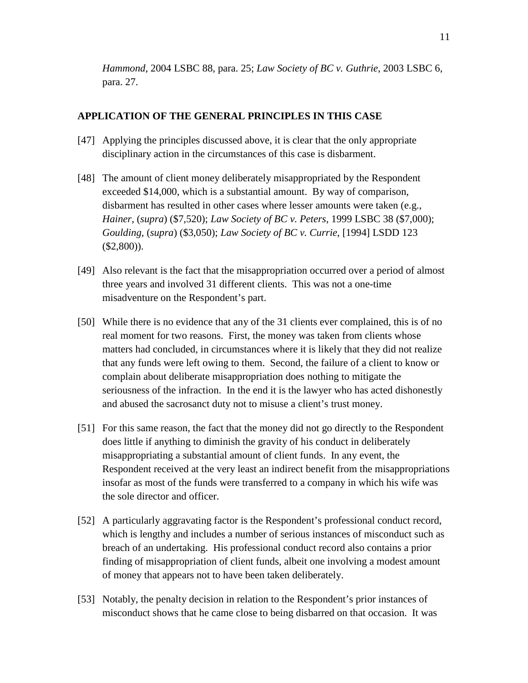*Hammond*, 2004 LSBC 88, para. 25; *Law Society of BC v. Guthrie*, 2003 LSBC 6, para. 27.

### **APPLICATION OF THE GENERAL PRINCIPLES IN THIS CASE**

- [47] Applying the principles discussed above, it is clear that the only appropriate disciplinary action in the circumstances of this case is disbarment.
- [48] The amount of client money deliberately misappropriated by the Respondent exceeded \$14,000, which is a substantial amount. By way of comparison, disbarment has resulted in other cases where lesser amounts were taken (e.g., *Hainer*, (*supra*) (\$7,520); *Law Society of BC v. Peters*, 1999 LSBC 38 (\$7,000); *Goulding*, (*supra*) (\$3,050); *Law Society of BC v. Currie*, [1994] LSDD 123 (\$2,800)).
- [49] Also relevant is the fact that the misappropriation occurred over a period of almost three years and involved 31 different clients. This was not a one-time misadventure on the Respondent's part.
- [50] While there is no evidence that any of the 31 clients ever complained, this is of no real moment for two reasons. First, the money was taken from clients whose matters had concluded, in circumstances where it is likely that they did not realize that any funds were left owing to them. Second, the failure of a client to know or complain about deliberate misappropriation does nothing to mitigate the seriousness of the infraction. In the end it is the lawyer who has acted dishonestly and abused the sacrosanct duty not to misuse a client's trust money.
- [51] For this same reason, the fact that the money did not go directly to the Respondent does little if anything to diminish the gravity of his conduct in deliberately misappropriating a substantial amount of client funds. In any event, the Respondent received at the very least an indirect benefit from the misappropriations insofar as most of the funds were transferred to a company in which his wife was the sole director and officer.
- [52] A particularly aggravating factor is the Respondent's professional conduct record, which is lengthy and includes a number of serious instances of misconduct such as breach of an undertaking. His professional conduct record also contains a prior finding of misappropriation of client funds, albeit one involving a modest amount of money that appears not to have been taken deliberately.
- [53] Notably, the penalty decision in relation to the Respondent's prior instances of misconduct shows that he came close to being disbarred on that occasion. It was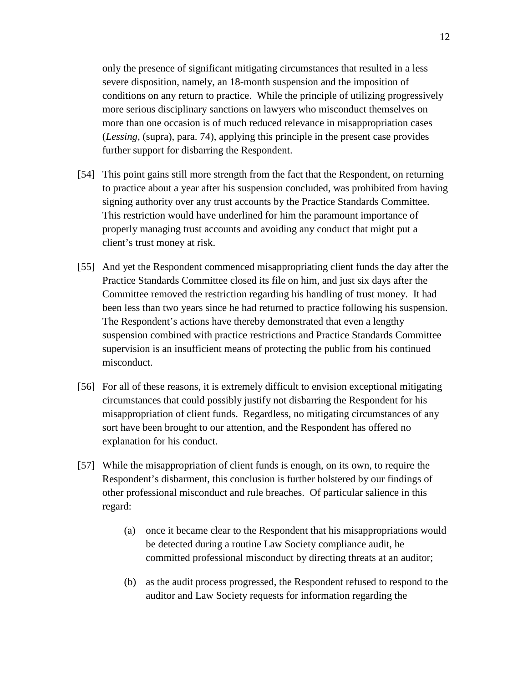only the presence of significant mitigating circumstances that resulted in a less severe disposition, namely, an 18-month suspension and the imposition of conditions on any return to practice. While the principle of utilizing progressively more serious disciplinary sanctions on lawyers who misconduct themselves on more than one occasion is of much reduced relevance in misappropriation cases (*Lessing*, (supra), para. 74), applying this principle in the present case provides further support for disbarring the Respondent.

- [54] This point gains still more strength from the fact that the Respondent, on returning to practice about a year after his suspension concluded, was prohibited from having signing authority over any trust accounts by the Practice Standards Committee. This restriction would have underlined for him the paramount importance of properly managing trust accounts and avoiding any conduct that might put a client's trust money at risk.
- [55] And yet the Respondent commenced misappropriating client funds the day after the Practice Standards Committee closed its file on him, and just six days after the Committee removed the restriction regarding his handling of trust money. It had been less than two years since he had returned to practice following his suspension. The Respondent's actions have thereby demonstrated that even a lengthy suspension combined with practice restrictions and Practice Standards Committee supervision is an insufficient means of protecting the public from his continued misconduct.
- [56] For all of these reasons, it is extremely difficult to envision exceptional mitigating circumstances that could possibly justify not disbarring the Respondent for his misappropriation of client funds. Regardless, no mitigating circumstances of any sort have been brought to our attention, and the Respondent has offered no explanation for his conduct.
- [57] While the misappropriation of client funds is enough, on its own, to require the Respondent's disbarment, this conclusion is further bolstered by our findings of other professional misconduct and rule breaches. Of particular salience in this regard:
	- (a) once it became clear to the Respondent that his misappropriations would be detected during a routine Law Society compliance audit, he committed professional misconduct by directing threats at an auditor;
	- (b) as the audit process progressed, the Respondent refused to respond to the auditor and Law Society requests for information regarding the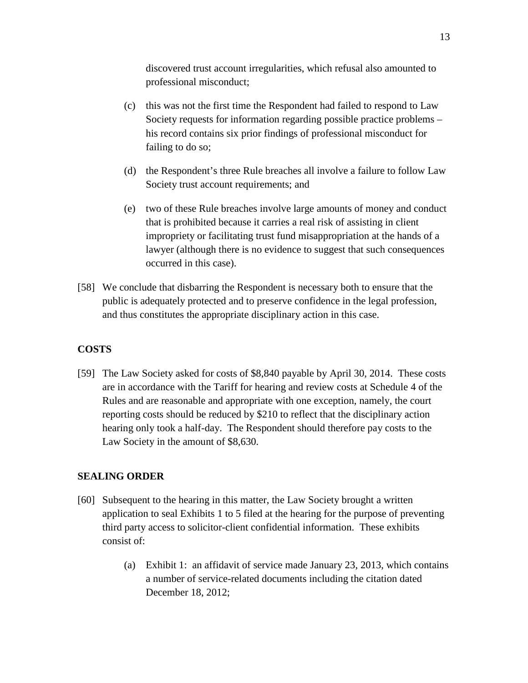discovered trust account irregularities, which refusal also amounted to professional misconduct;

- (c) this was not the first time the Respondent had failed to respond to Law Society requests for information regarding possible practice problems – his record contains six prior findings of professional misconduct for failing to do so;
- (d) the Respondent's three Rule breaches all involve a failure to follow Law Society trust account requirements; and
- (e) two of these Rule breaches involve large amounts of money and conduct that is prohibited because it carries a real risk of assisting in client impropriety or facilitating trust fund misappropriation at the hands of a lawyer (although there is no evidence to suggest that such consequences occurred in this case).
- [58] We conclude that disbarring the Respondent is necessary both to ensure that the public is adequately protected and to preserve confidence in the legal profession, and thus constitutes the appropriate disciplinary action in this case.

## **COSTS**

[59] The Law Society asked for costs of \$8,840 payable by April 30, 2014. These costs are in accordance with the Tariff for hearing and review costs at Schedule 4 of the Rules and are reasonable and appropriate with one exception, namely, the court reporting costs should be reduced by \$210 to reflect that the disciplinary action hearing only took a half-day. The Respondent should therefore pay costs to the Law Society in the amount of \$8,630.

## **SEALING ORDER**

- [60] Subsequent to the hearing in this matter, the Law Society brought a written application to seal Exhibits 1 to 5 filed at the hearing for the purpose of preventing third party access to solicitor-client confidential information. These exhibits consist of:
	- (a) Exhibit 1: an affidavit of service made January 23, 2013, which contains a number of service-related documents including the citation dated December 18, 2012;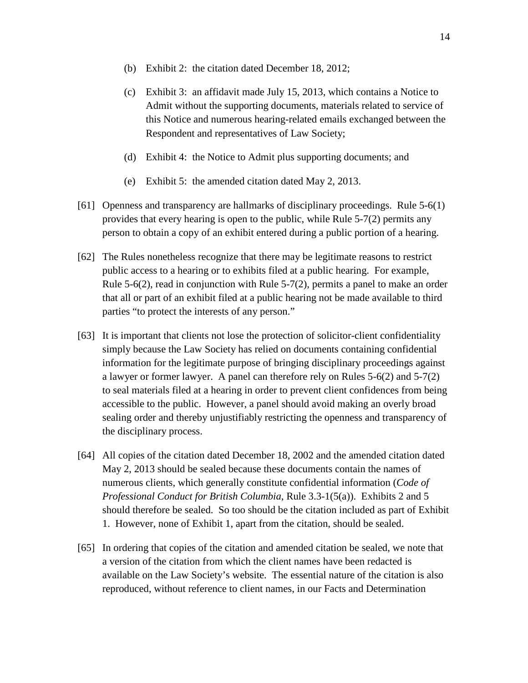- (b) Exhibit 2: the citation dated December 18, 2012;
- (c) Exhibit 3: an affidavit made July 15, 2013, which contains a Notice to Admit without the supporting documents, materials related to service of this Notice and numerous hearing-related emails exchanged between the Respondent and representatives of Law Society;
- (d) Exhibit 4: the Notice to Admit plus supporting documents; and
- (e) Exhibit 5: the amended citation dated May 2, 2013.
- [61] Openness and transparency are hallmarks of disciplinary proceedings. Rule 5-6(1) provides that every hearing is open to the public, while Rule 5-7(2) permits any person to obtain a copy of an exhibit entered during a public portion of a hearing.
- [62] The Rules nonetheless recognize that there may be legitimate reasons to restrict public access to a hearing or to exhibits filed at a public hearing. For example, Rule 5-6(2), read in conjunction with Rule 5-7(2), permits a panel to make an order that all or part of an exhibit filed at a public hearing not be made available to third parties "to protect the interests of any person."
- [63] It is important that clients not lose the protection of solicitor-client confidentiality simply because the Law Society has relied on documents containing confidential information for the legitimate purpose of bringing disciplinary proceedings against a lawyer or former lawyer. A panel can therefore rely on Rules 5-6(2) and 5-7(2) to seal materials filed at a hearing in order to prevent client confidences from being accessible to the public. However, a panel should avoid making an overly broad sealing order and thereby unjustifiably restricting the openness and transparency of the disciplinary process.
- [64] All copies of the citation dated December 18, 2002 and the amended citation dated May 2, 2013 should be sealed because these documents contain the names of numerous clients, which generally constitute confidential information (*Code of Professional Conduct for British Columbia*, Rule 3.3-1(5(a)). Exhibits 2 and 5 should therefore be sealed. So too should be the citation included as part of Exhibit 1. However, none of Exhibit 1, apart from the citation, should be sealed.
- [65] In ordering that copies of the citation and amended citation be sealed, we note that a version of the citation from which the client names have been redacted is available on the Law Society's website. The essential nature of the citation is also reproduced, without reference to client names, in our Facts and Determination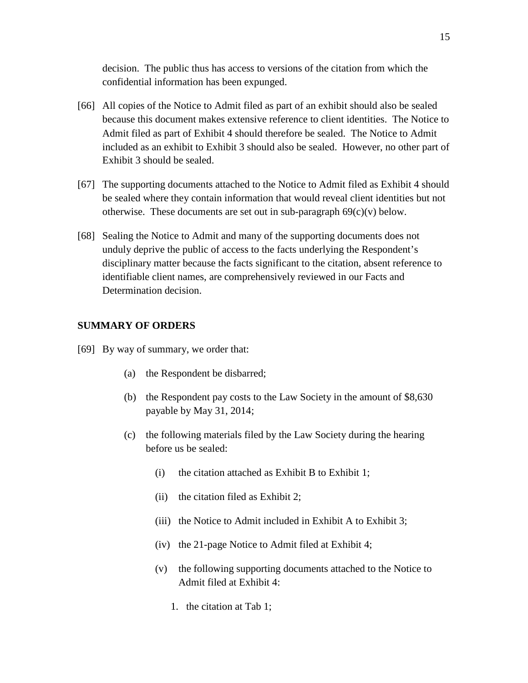decision. The public thus has access to versions of the citation from which the confidential information has been expunged.

- [66] All copies of the Notice to Admit filed as part of an exhibit should also be sealed because this document makes extensive reference to client identities. The Notice to Admit filed as part of Exhibit 4 should therefore be sealed. The Notice to Admit included as an exhibit to Exhibit 3 should also be sealed. However, no other part of Exhibit 3 should be sealed.
- [67] The supporting documents attached to the Notice to Admit filed as Exhibit 4 should be sealed where they contain information that would reveal client identities but not otherwise. These documents are set out in sub-paragraph  $69(c)(v)$  below.
- [68] Sealing the Notice to Admit and many of the supporting documents does not unduly deprive the public of access to the facts underlying the Respondent's disciplinary matter because the facts significant to the citation, absent reference to identifiable client names, are comprehensively reviewed in our Facts and Determination decision.

### **SUMMARY OF ORDERS**

- [69] By way of summary, we order that:
	- (a) the Respondent be disbarred;
	- (b) the Respondent pay costs to the Law Society in the amount of \$8,630 payable by May 31, 2014;
	- (c) the following materials filed by the Law Society during the hearing before us be sealed:
		- (i) the citation attached as Exhibit B to Exhibit 1;
		- (ii) the citation filed as Exhibit 2;
		- (iii) the Notice to Admit included in Exhibit A to Exhibit 3;
		- (iv) the 21-page Notice to Admit filed at Exhibit 4;
		- (v) the following supporting documents attached to the Notice to Admit filed at Exhibit 4:
			- 1. the citation at Tab 1;